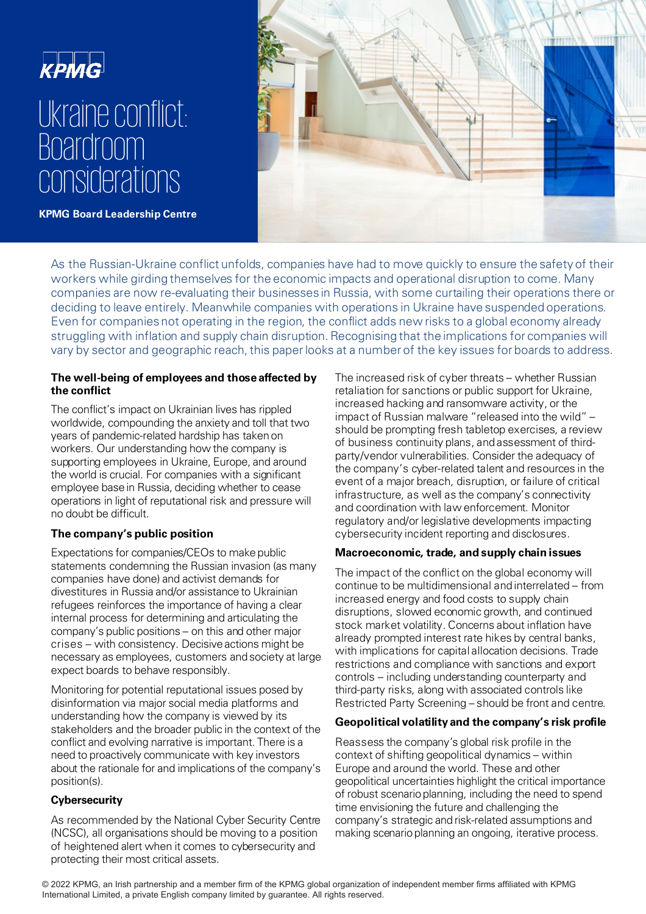



As the Russian-Ukraine conflict unfolds, companies have had to move quickly to ensure the safety of their workers while girding themselves for the economic impacts and operational disruption to come. Many companies are now re-evaluating their businesses in Russia, with some curtailing their operations there or deciding to leave entirely. Meanwhile companies with operations in Ukraine have suspended operations. Even for companies not operating in the region, the conflict adds new risks to a global economy already struggling with inflation and supply chain disruption. Recognising that the implications for companies will vary by sector and geographic reach, this paper looks at a number of the key issues for boards to address.

#### **The well-being of employees and those affected by the conflict**

The conflict's impact on Ukrainian lives has rippled worldwide, compounding the anxiety and toll that two years of pandemic-related hardship has takenon workers. Our understanding how the company is supporting employees in Ukraine, Europe, and around the world is crucial. For companies with a significant employee base in Russia, deciding whether to cease operations in light of reputational risk and pressure will no doubt be difficult.

# **The company's public position**

Expectations for companies/CEOs to make public statements condemning the Russian invasion (as many companies have done) and activist demands for divestitures in Russia and/or assistance to Ukrainian refugees reinforces the importance of having a clear internal process for determining and articulating the company's public positions – on this and other major crises – with consistency. Decisive actions might be necessary as employees, customers and society at large expect boards to behave responsibly.

Monitoring for potential reputational issues posed by disinformation via major social media platforms and understanding how the company is viewed by its stakeholders and the broader public in the context of the conflict and evolving narrative is important. There is a need to proactively communicate with key investors about the rationale for and implications of the company's position(s).

## **Cybersecurity**

As recommended by the National Cyber Security Centre (NCSC), all organisations should be moving to a position of heightened alert when it comes to cybersecurity and protecting their most critical assets.

The increased risk of cyber threats – whether Russian retaliation for sanctions or public support for Ukraine, increased hacking and ransomware activity, or the impact of Russian malware "released into the wild" – should be prompting fresh tabletop exercises, a review of business continuity plans, and assessment of thirdparty/vendor vulnerabilities. Consider the adequacy of the company's cyber-related talent and resources in the event of a major breach, disruption, or failure of critical infrastructure, as well as the company's connectivity and coordination with law enforcement. Monitor regulatory and/or legislative developments impacting cybersecurity incident reporting and disclosures.

## **Macroeconomic, trade, and supply chain issues**

The impact of the conflict on the global economy will continue to be multidimensional and interrelated – from increased energy and food costs to supply chain disruptions, slowed economic growth, and continued stock market volatility. Concerns about inflation have already prompted interest rate hikes by central banks, with implications for capital allocation decisions. Trade restrictions and compliance with sanctions and export controls – including understanding counterparty and third-party risks, along with associated controls like Restricted Party Screening – should be front and centre.

## **Geopolitical volatility and the company's risk profile**

Reassess the company's global risk profile in the context of shifting geopolitical dynamics – within Europe and around the world. These and other geopolitical uncertainties highlight the critical importance of robust scenario planning, including the need to spend time envisioning the future and challenging the company's strategic and risk-related assumptions and making scenario planning an ongoing, iterative process.